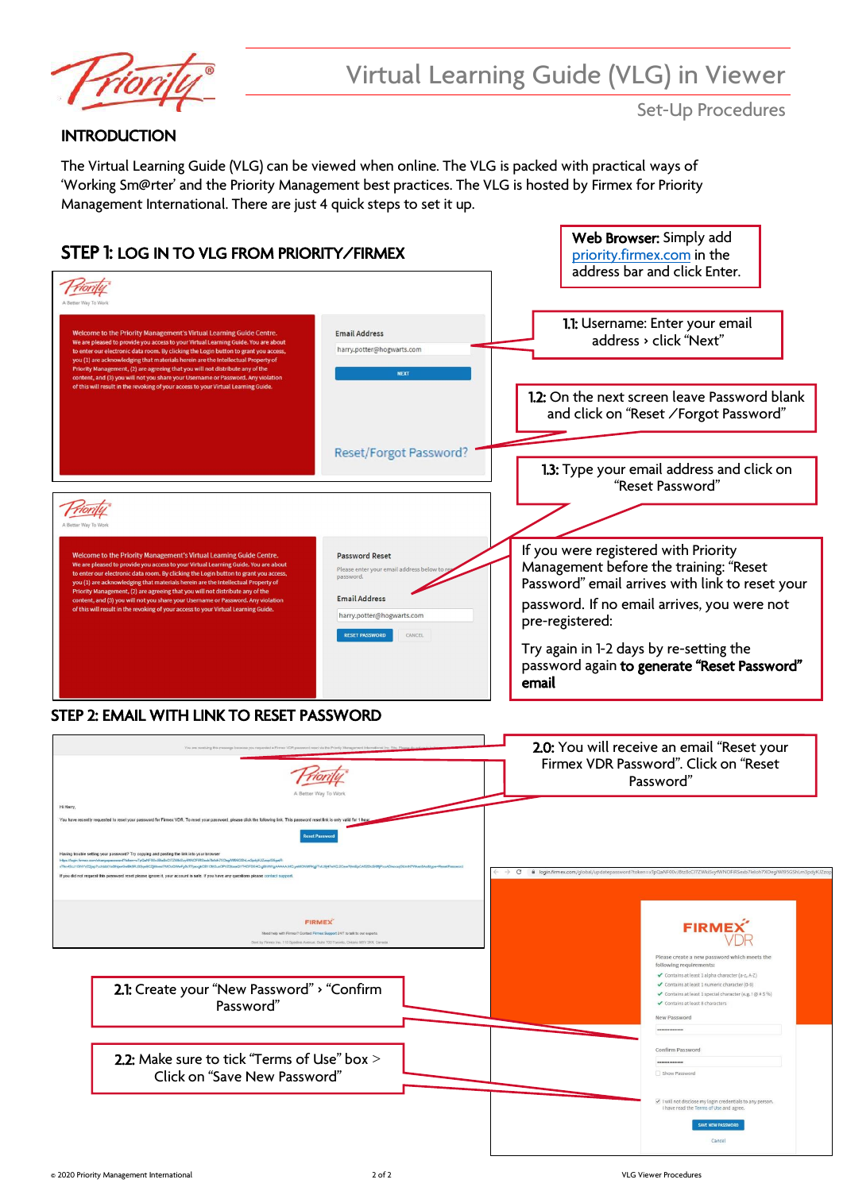

## **INTRODUCTION**

The Virtual Learning Guide (VLG) can be viewed when online. The VLG is packed with practical ways of 'Working Sm@rter' and the Priority Management best practices. The VLG is hosted by Firmex for Priority Management International. There are just 4 quick steps to set it up.



# STEP 2: EMAIL WITH LINK TO RESET PASSWORD